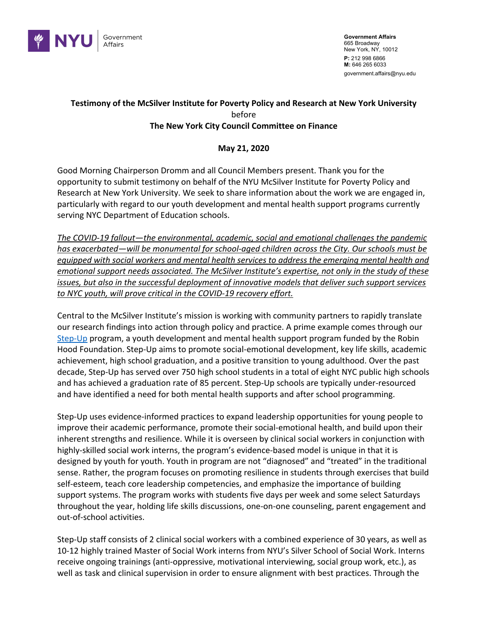

**Government Affairs** 665 Broadway New York, NY, 10012 **P:** 212 998 6866 **M:** 646 265 6033 government.affairs@nyu.edu

## **Testimony of the McSilver Institute for Poverty Policy and Research at New York University** before **The New York City Council Committee on Finance**

## **May 21, 2020**

Good Morning Chairperson Dromm and all Council Members present. Thank you for the opportunity to submit testimony on behalf of the NYU McSilver Institute for Poverty Policy and Research at New York University. We seek to share information about the work we are engaged in, particularly with regard to our youth development and mental health support programs currently serving NYC Department of Education schools.

*The COVID-19 fallout—the environmental, academic, social and emotional challenges the pandemic has exacerbated—will be monumental for school-aged children across the City. Our schools must be equipped with social workers and mental health services to address the emerging mental health and emotional support needs associated. The McSilver Institute's expertise, not only in the study of these issues, but also in the successful deployment of innovative models that deliver such support services to NYC youth, will prove critical in the COVID-19 recovery effort.* 

Central to the McSilver Institute's mission is working with community partners to rapidly translate our research findings into action through policy and practice. A prime example comes through our Step-Up program, a youth development and mental health support program funded by the Robin Hood Foundation. Step-Up aims to promote social-emotional development, key life skills, academic achievement, high school graduation, and a positive transition to young adulthood. Over the past decade, Step-Up has served over 750 high school students in a total of eight NYC public high schools and has achieved a graduation rate of 85 percent. Step-Up schools are typically under-resourced and have identified a need for both mental health supports and after school programming.

Step-Up uses evidence-informed practices to expand leadership opportunities for young people to improve their academic performance, promote their social-emotional health, and build upon their inherent strengths and resilience. While it is overseen by clinical social workers in conjunction with highly-skilled social work interns, the program's evidence-based model is unique in that it is designed by youth for youth. Youth in program are not "diagnosed" and "treated" in the traditional sense. Rather, the program focuses on promoting resilience in students through exercises that build self-esteem, teach core leadership competencies, and emphasize the importance of building support systems. The program works with students five days per week and some select Saturdays throughout the year, holding life skills discussions, one-on-one counseling, parent engagement and out-of-school activities.

Step-Up staff consists of 2 clinical social workers with a combined experience of 30 years, as well as 10-12 highly trained Master of Social Work interns from NYU's Silver School of Social Work. Interns receive ongoing trainings (anti-oppressive, motivational interviewing, social group work, etc.), as well as task and clinical supervision in order to ensure alignment with best practices. Through the